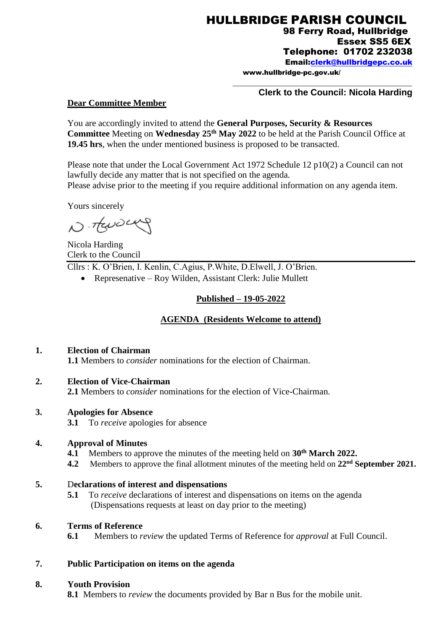HULLBRIDGE PARISH COUNCIL 98 Ferry Road, Hullbridge Essex SS5 6EX

Telephone: 01702 232038

Email[:clerk@hullbridgepc.co.uk](mailto:clerk@hullbridgepc.co.uk) 

www.hullbridge-pc.gov.uk/

### **Clerk to the Council: Nicola Harding**

\_\_\_\_\_\_\_\_\_\_\_\_\_\_\_\_\_\_\_\_\_\_\_\_\_\_\_\_\_\_\_\_\_\_\_\_\_\_\_\_\_\_\_\_\_\_\_\_

#### **Dear Committee Member**

You are accordingly invited to attend the **General Purposes, Security & Resources Committee** Meeting on **Wednesday 25th May 2022** to be held at the Parish Council Office at **19.45 hrs**, when the under mentioned business is proposed to be transacted.

Please note that under the Local Government Act 1972 Schedule 12 p10(2) a Council can not lawfully decide any matter that is not specified on the agenda. Please advise prior to the meeting if you require additional information on any agenda item.

Yours sincerely

N. TENDENY

Nicola Harding Clerk to the Council Cllrs : K. O'Brien, I. Kenlin, C.Agius, P.White, D.Elwell, J. O'Brien.

Represenative – Roy Wilden, Assistant Clerk: Julie Mullett

#### **Published – 19-05-2022**

### **AGENDA (Residents Welcome to attend)**

#### **1. Election of Chairman**

**1.1** Members to *consider* nominations for the election of Chairman.

#### **2. Election of Vice-Chairman**

**2.1** Members to *consider* nominations for the election of Vice-Chairman.

#### **3. Apologies for Absence**

**3.1** To *receive* apologies for absence

#### **4. Approval of Minutes**

- **4.1** Members to approve the minutes of the meeting held on **30th March 2022.**
- **4.2** Members to approve the final allotment minutes of the meeting held on **22nd September 2021.**

#### **5.** D**eclarations of interest and dispensations**

**5.1** To *receive* declarations of interest and dispensations on items on the agenda (Dispensations requests at least on day prior to the meeting)

### **6. Terms of Reference**

**6.1** Members to *review* the updated Terms of Reference for *approval* at Full Council.

#### **7. Public Participation on items on the agenda**

#### **8. Youth Provision**

**8.1** Members to *review* the documents provided by Bar n Bus for the mobile unit.